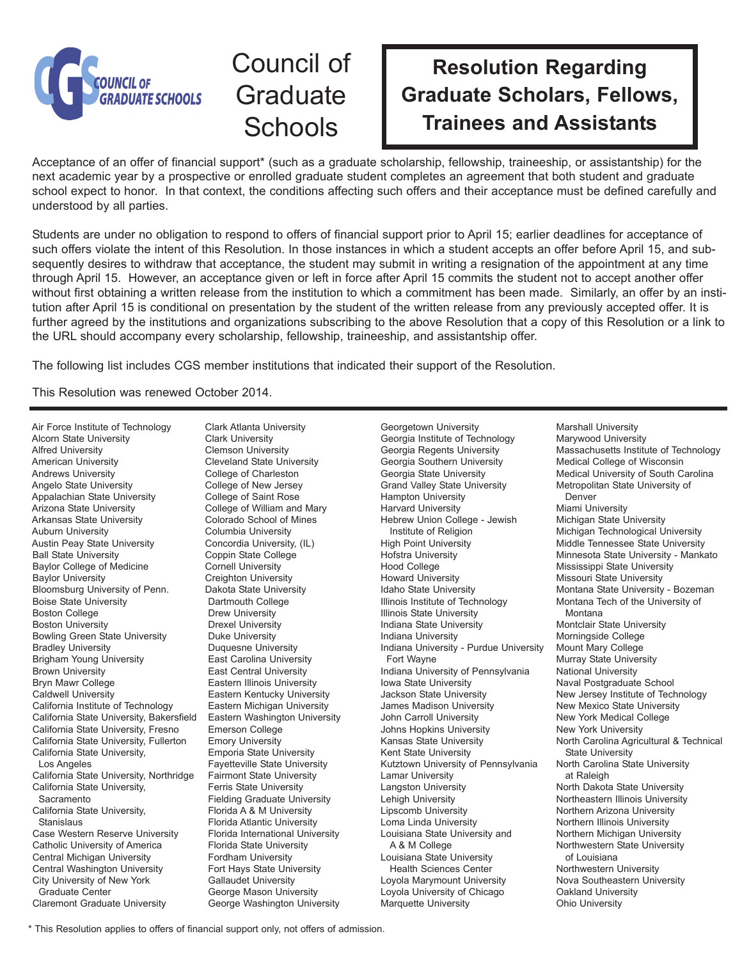

## Council of **Graduate Schools**

## **Resolution Regarding Graduate Scholars, Fellows, Trainees and Assistants**

Acceptance of an offer of financial support\* (such as a graduate scholarship, fellowship, traineeship, or assistantship) for the next academic year by a prospective or enrolled graduate student completes an agreement that both student and graduate school expect to honor. In that context, the conditions affecting such offers and their acceptance must be defined carefully and understood by all parties.

Students are under no obligation to respond to offers of financial support prior to April 15; earlier deadlines for acceptance of such offers violate the intent of this Resolution. In those instances in which a student accepts an offer before April 15, and subsequently desires to withdraw that acceptance, the student may submit in writing a resignation of the appointment at any time through April 15. However, an acceptance given or left in force after April 15 commits the student not to accept another offer without first obtaining a written release from the institution to which a commitment has been made. Similarly, an offer by an institution after April 15 is conditional on presentation by the student of the written release from any previously accepted offer. It is further agreed by the institutions and organizations subscribing to the above Resolution that a copy of this Resolution or a link to the URL should accompany every scholarship, fellowship, traineeship, and assistantship offer.

The following list includes CGS member institutions that indicated their support of the Resolution.

This Resolution was renewed October 2014.

Air Force Institute of Technology Alcorn State University Alfred University American University Andrews University Angelo State University Appalachian State University Arizona State University Arkansas State University Auburn University Austin Peay State University Ball State University Baylor College of Medicine Baylor University Bloomsburg University of Penn. Boise State University Boston College Boston University Bowling Green State University Bradley University Brigham Young University Brown University Bryn Mawr College Caldwell University California Institute of Technology California State University, Bakersfield California State University, Fresno California State University, Fullerton California State University, Los Angeles California State University, Northridge California State University, **Sacramento** California State University, **Stanislaus** Case Western Reserve University Catholic University of America Central Michigan University Central Washington University City University of New York Graduate Center Claremont Graduate University

Clark Atlanta University Clark University Clemson University Cleveland State University College of Charleston College of New Jersey College of Saint Rose College of William and Mary Colorado School of Mines Columbia University Concordia University, (IL) Coppin State College Cornell University Creighton University Dakota State University Dartmouth College Drew University Drexel University Duke University Duquesne University East Carolina University East Central University Eastern Illinois University Eastern Kentucky University Eastern Michigan University Eastern Washington University Emerson College Emory University Emporia State University Fayetteville State University Fairmont State University Ferris State University Fielding Graduate University Florida A & M University Florida Atlantic University Florida International University Florida State University Fordham University Fort Hays State University Gallaudet University George Mason University George Washington University

Georgetown University Georgia Institute of Technology Georgia Regents University Georgia Southern University Georgia State University Grand Valley State University Hampton University Harvard University Hebrew Union College - Jewish Institute of Religion High Point University Hofstra University Hood College Howard University Idaho State University Illinois Institute of Technology Illinois State University Indiana State University Indiana University Indiana University - Purdue University Fort Wayne Indiana University of Pennsylvania Iowa State University Jackson State University James Madison University John Carroll University Johns Hopkins University Kansas State University Kent State University Kutztown University of Pennsylvania Lamar University Langston University Lehigh University Lipscomb University Loma Linda University Louisiana State University and A & M College Louisiana State University Health Sciences Center Loyola Marymount University Loyola University of Chicago Marquette University

Marshall University Marywood University Massachusetts Institute of Technology Medical College of Wisconsin Medical University of South Carolina Metropolitan State University of Denver Miami University Michigan State University Michigan Technological University Middle Tennessee State University Minnesota State University - Mankato Mississippi State University Missouri State University Montana State University - Bozeman Montana Tech of the University of Montana Montclair State University Morningside College Mount Mary College Murray State University National University Naval Postgraduate School New Jersey Institute of Technology New Mexico State University New York Medical College New York University North Carolina Agricultural & Technical State University North Carolina State University at Raleigh North Dakota State University Northeastern Illinois University Northern Arizona University Northern Illinois University Northern Michigan University Northwestern State University of Louisiana Northwestern University Nova Southeastern University Oakland University Ohio University

\* This Resolution applies to offers of financial support only, not offers of admission.